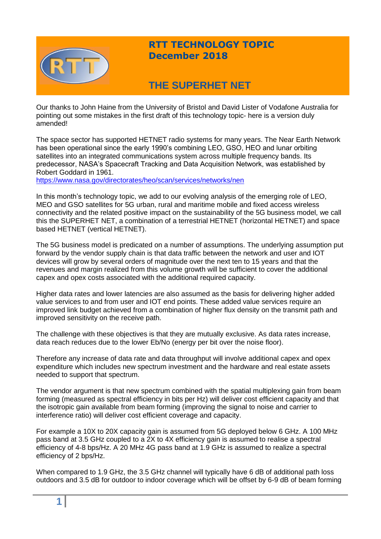

## **RTT TECHNOLOGY TOPIC December 2018**

# **THE SUPERHET NET**

Our thanks to John Haine from the University of Bristol and David Lister of Vodafone Australia for pointing out some mistakes in the first draft of this technology topic- here is a version duly amended!

The space sector has supported HETNET radio systems for many years. The Near Earth Network has been operational since the early 1990's combining LEO, GSO, HEO and lunar orbiting satellites into an integrated communications system across multiple frequency bands. Its predecessor, NASA's Spacecraft Tracking and Data Acquisition Network, was established by Robert Goddard in 1961.

<https://www.nasa.gov/directorates/heo/scan/services/networks/nen>

In this month's technology topic, we add to our evolving analysis of the emerging role of LEO, MEO and GSO satellites for 5G urban, rural and maritime mobile and fixed access wireless connectivity and the related positive impact on the sustainability of the 5G business model, we call this the SUPERHET NET, a combination of a terrestrial HETNET (horizontal HETNET) and space based HETNET (vertical HETNET).

The 5G business model is predicated on a number of assumptions. The underlying assumption put forward by the vendor supply chain is that data traffic between the network and user and IOT devices will grow by several orders of magnitude over the next ten to 15 years and that the revenues and margin realized from this volume growth will be sufficient to cover the additional capex and opex costs associated with the additional required capacity.

Higher data rates and lower latencies are also assumed as the basis for delivering higher added value services to and from user and IOT end points. These added value services require an improved link budget achieved from a combination of higher flux density on the transmit path and improved sensitivity on the receive path.

The challenge with these objectives is that they are mutually exclusive. As data rates increase, data reach reduces due to the lower Eb/No (energy per bit over the noise floor).

Therefore any increase of data rate and data throughput will involve additional capex and opex expenditure which includes new spectrum investment and the hardware and real estate assets needed to support that spectrum.

The vendor argument is that new spectrum combined with the spatial multiplexing gain from beam forming (measured as spectral efficiency in bits per Hz) will deliver cost efficient capacity and that the isotropic gain available from beam forming (improving the signal to noise and carrier to interference ratio) will deliver cost efficient coverage and capacity.

For example a 10X to 20X capacity gain is assumed from 5G deployed below 6 GHz. A 100 MHz pass band at 3.5 GHz coupled to a 2X to 4X efficiency gain is assumed to realise a spectral efficiency of 4-8 bps/Hz. A 20 MHz 4G pass band at 1.9 GHz is assumed to realize a spectral efficiency of 2 bps/Hz.

When compared to 1.9 GHz, the 3.5 GHz channel will typically have 6 dB of additional path loss outdoors and 3.5 dB for outdoor to indoor coverage which will be offset by 6-9 dB of beam forming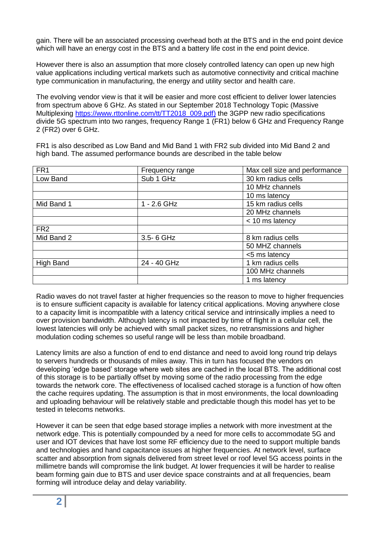gain. There will be an associated processing overhead both at the BTS and in the end point device which will have an energy cost in the BTS and a battery life cost in the end point device.

However there is also an assumption that more closely controlled latency can open up new high value applications including vertical markets such as automotive connectivity and critical machine type communication in manufacturing, the energy and utility sector and health care.

The evolving vendor view is that it will be easier and more cost efficient to deliver lower latencies from spectrum above 6 GHz. As stated in our September 2018 Technology Topic (Massive Multiplexing [https://www.rttonline.com/tt/TT2018\\_009.pdf\)](https://www.rttonline.com/tt/TT2018_009.pdf) the 3GPP new radio specifications divide 5G spectrum into two ranges, frequency Range 1 (FR1) below 6 GHz and Frequency Range 2 (FR2) over 6 GHz.

FR1 is also described as Low Band and Mid Band 1 with FR2 sub divided into Mid Band 2 and high band. The assumed performance bounds are described in the table below

| FR <sub>1</sub> | Frequency range | Max cell size and performance |
|-----------------|-----------------|-------------------------------|
| Low Band        | Sub 1 GHz       | 30 km radius cells            |
|                 |                 | 10 MHz channels               |
|                 |                 | 10 ms latency                 |
| Mid Band 1      | $1 - 2.6$ GHz   | 15 km radius cells            |
|                 |                 | 20 MHz channels               |
|                 |                 | < 10 ms latency               |
| FR <sub>2</sub> |                 |                               |
| Mid Band 2      | 3.5-6 GHz       | 8 km radius cells             |
|                 |                 | 50 MHZ channels               |
|                 |                 | <5 ms latency                 |
| High Band       | 24 - 40 GHz     | 1 km radius cells             |
|                 |                 | 100 MHz channels              |
|                 |                 | 1 ms latency                  |

Radio waves do not travel faster at higher frequencies so the reason to move to higher frequencies is to ensure sufficient capacity is available for latency critical applications. Moving anywhere close to a capacity limit is incompatible with a latency critical service and intrinsically implies a need to over provision bandwidth. Although latency is not impacted by time of flight in a cellular cell, the lowest latencies will only be achieved with small packet sizes, no retransmissions and higher modulation coding schemes so useful range will be less than mobile broadband.

Latency limits are also a function of end to end distance and need to avoid long round trip delays to servers hundreds or thousands of miles away. This in turn has focused the vendors on developing 'edge based' storage where web sites are cached in the local BTS. The additional cost of this storage is to be partially offset by moving some of the radio processing from the edge towards the network core. The effectiveness of localised cached storage is a function of how often the cache requires updating. The assumption is that in most environments, the local downloading and uploading behaviour will be relatively stable and predictable though this model has yet to be tested in telecoms networks.

However it can be seen that edge based storage implies a network with more investment at the network edge. This is potentially compounded by a need for more cells to accommodate 5G and user and IOT devices that have lost some RF efficiency due to the need to support multiple bands and technologies and hand capacitance issues at higher frequencies. At network level, surface scatter and absorption from signals delivered from street level or roof level 5G access points in the millimetre bands will compromise the link budget. At lower frequencies it will be harder to realise beam forming gain due to BTS and user device space constraints and at all frequencies, beam forming will introduce delay and delay variability.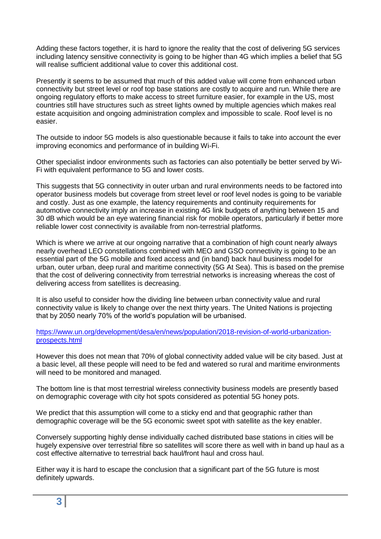Adding these factors together, it is hard to ignore the reality that the cost of delivering 5G services including latency sensitive connectivity is going to be higher than 4G which implies a belief that 5G will realise sufficient additional value to cover this additional cost.

Presently it seems to be assumed that much of this added value will come from enhanced urban connectivity but street level or roof top base stations are costly to acquire and run. While there are ongoing regulatory efforts to make access to street furniture easier, for example in the US, most countries still have structures such as street lights owned by multiple agencies which makes real estate acquisition and ongoing administration complex and impossible to scale. Roof level is no easier.

The outside to indoor 5G models is also questionable because it fails to take into account the ever improving economics and performance of in building Wi-Fi.

Other specialist indoor environments such as factories can also potentially be better served by Wi-Fi with equivalent performance to 5G and lower costs.

This suggests that 5G connectivity in outer urban and rural environments needs to be factored into operator business models but coverage from street level or roof level nodes is going to be variable and costly. Just as one example, the latency requirements and continuity requirements for automotive connectivity imply an increase in existing 4G link budgets of anything between 15 and 30 dB which would be an eye watering financial risk for mobile operators, particularly if better more reliable lower cost connectivity is available from non-terrestrial platforms.

Which is where we arrive at our ongoing narrative that a combination of high count nearly always nearly overhead LEO constellations combined with MEO and GSO connectivity is going to be an essential part of the 5G mobile and fixed access and (in band) back haul business model for urban, outer urban, deep rural and maritime connectivity (5G At Sea). This is based on the premise that the cost of delivering connectivity from terrestrial networks is increasing whereas the cost of delivering access from satellites is decreasing.

It is also useful to consider how the dividing line between urban connectivity value and rural connectivity value is likely to change over the next thirty years. The United Nations is projecting that by 2050 nearly 70% of the world's population will be urbanised.

### [https://www.un.org/development/desa/en/news/population/2018-revision-of-world-urbanization](https://www.un.org/development/desa/en/news/population/2018-revision-of-world-urbanization-prospects.html)[prospects.html](https://www.un.org/development/desa/en/news/population/2018-revision-of-world-urbanization-prospects.html)

However this does not mean that 70% of global connectivity added value will be city based. Just at a basic level, all these people will need to be fed and watered so rural and maritime environments will need to be monitored and managed.

The bottom line is that most terrestrial wireless connectivity business models are presently based on demographic coverage with city hot spots considered as potential 5G honey pots.

We predict that this assumption will come to a sticky end and that geographic rather than demographic coverage will be the 5G economic sweet spot with satellite as the key enabler.

Conversely supporting highly dense individually cached distributed base stations in cities will be hugely expensive over terrestrial fibre so satellites will score there as well with in band up haul as a cost effective alternative to terrestrial back haul/front haul and cross haul.

Either way it is hard to escape the conclusion that a significant part of the 5G future is most definitely upwards.